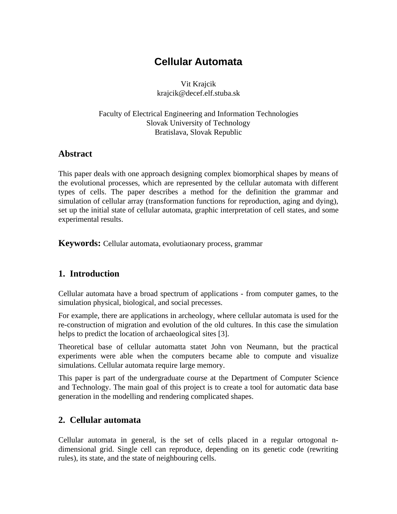# **Cellular Automata**

Vit Krajcik krajcik@decef.elf.stuba.sk

Faculty of Electrical Engineering and Information Technologies Slovak University of Technology Bratislava, Slovak Republic

# **Abstract**

This paper deals with one approach designing complex biomorphical shapes by means of the evolutional processes, which are represented by the cellular automata with different types of cells. The paper describes a method for the definition the grammar and simulation of cellular array (transformation functions for reproduction, aging and dying), set up the initial state of cellular automata, graphic interpretation of cell states, and some experimental results.

**Keywords:** Cellular automata, evolutiaonary process, grammar

# **1. Introduction**

Cellular automata have a broad spectrum of applications - from computer games, to the simulation physical, biological, and social precesses.

For example, there are applications in archeology, where cellular automata is used for the re-construction of migration and evolution of the old cultures. In this case the simulation helps to predict the location of archaeological sites [3].

Theoretical base of cellular automatta statet John von Neumann, but the practical experiments were able when the computers became able to compute and visualize simulations. Cellular automata require large memory.

This paper is part of the undergraduate course at the Department of Computer Science and Technology. The main goal of this project is to create a tool for automatic data base generation in the modelling and rendering complicated shapes.

# **2. Cellular automata**

Cellular automata in general, is the set of cells placed in a regular ortogonal ndimensional grid. Single cell can reproduce, depending on its genetic code (rewriting rules), its state, and the state of neighbouring cells.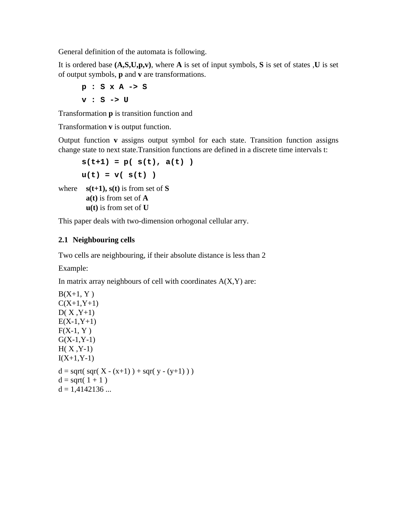General definition of the automata is following.

It is ordered base **(A,S,U,p,v)**, where **A** is set of input symbols, **S** is set of states ,**U** is set of output symbols, **p** and **v** are transformations.

**p : S x A -> S v : S -> U**

Transformation **p** is transition function and

Transformation **v** is output function.

Output function **v** assigns output symbol for each state. Transition function assigns change state to next state.Transition functions are defined in a discrete time intervals t:

```
s(t+1) = p( s(t), a(t) )
      u(t) = v( s(t) )where s(t+1), s(t) is from set of S
       a(t) is from set of A
       u(t) is from set of U
```
This paper deals with two-dimension orhogonal cellular arry.

### **2.1 Neighbouring cells**

Two cells are neighbouring, if their absolute distance is less than 2

Example:

In matrix array neighbours of cell with coordinates  $A(X, Y)$  are:

```
B(X+1, Y)C(X+1,Y+1)D(X, Y+1)E(X-1,Y+1)F(X-1, Y)G(X-1,Y-1)H(X, Y-1)I(X+1,Y-1)d = sqrt(sqr(X - (x+1)) + sqr(y - (y+1)))d = sqrt(1 + 1)d = 1,4142136...
```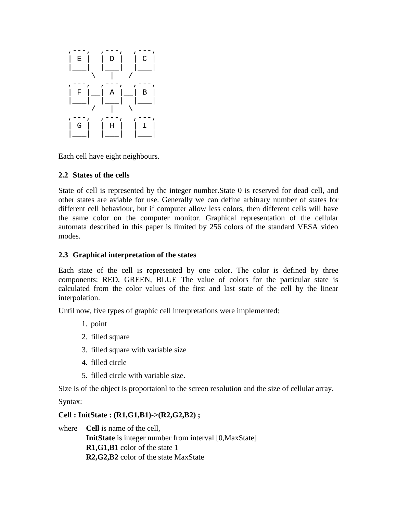

Each cell have eight neighbours.

### **2.2 States of the cells**

State of cell is represented by the integer number.State 0 is reserved for dead cell, and other states are aviable for use. Generally we can define arbitrary number of states for different cell behaviour, but if computer allow less colors, then different cells will have the same color on the computer monitor. Graphical representation of the cellular automata described in this paper is limited by 256 colors of the standard VESA video modes.

### **2.3 Graphical interpretation of the states**

Each state of the cell is represented by one color. The color is defined by three components: RED, GREEN, BLUE The value of colors for the particular state is calculated from the color values of the first and last state of the cell by the linear interpolation.

Until now, five types of graphic cell interpretations were implemented:

- 1. point
- 2. filled square
- 3. filled square with variable size
- 4. filled circle
- 5. filled circle with variable size.

Size is of the object is proportaionl to the screen resolution and the size of cellular array.

Syntax:

### **Cell : InitState : (R1,G1,B1)->(R2,G2,B2) ;**

where **Cell** is name of the cell, **InitState** is integer number from interval [0,MaxState] **R1,G1,B1** color of the state 1 **R2,G2,B2** color of the state MaxState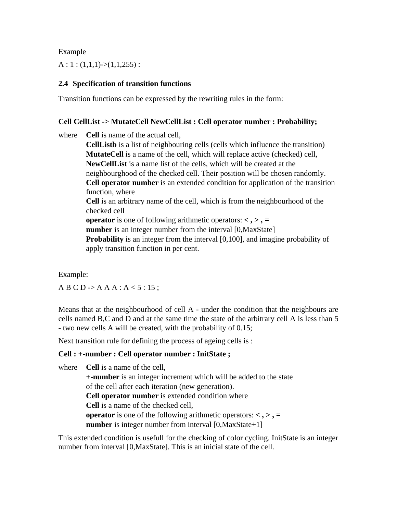Example

 $A: 1: (1,1,1) \rightarrow (1,1,255)$ :

### **2.4 Specification of transition functions**

Transition functions can be expressed by the rewriting rules in the form:

#### **Cell CellList -> MutateCell NewCellList : Cell operator number : Probability;**

where **Cell** is name of the actual cell,

**CellListb** is a list of neighbouring cells (cells which influence the transition) **MutateCell** is a name of the cell, which will replace active (checked) cell, **NewCellList** is a name list of the cells, which will be created at the neighbourghood of the checked cell. Their position will be chosen randomly. **Cell operator number** is an extended condition for application of the transition function, where **Cell** is an arbitrary name of the cell, which is from the neighbourhood of the checked cell **operator** is one of following arithmetic operators: **< , > , = number** is an integer number from the interval [0,MaxState] **Probability** is an integer from the interval [0,100], and imagine probability of apply transition function in per cent.

Example:

 $A B C D \rightarrow A A A : A < 5 : 15$ ;

Means that at the neighbourhood of cell A - under the condition that the neighbours are cells named B,C and D and at the same time the state of the arbitrary cell A is less than 5 - two new cells A will be created, with the probability of 0.15;

Next transition rule for defining the process of ageing cells is :

#### **Cell : +-number : Cell operator number : InitState ;**

where **Cell** is a name of the cell, **+-number** is an integer increment which will be added to the state of the cell after each iteration (new generation). **Cell operator number** is extended condition where **Cell** is a name of the checked cell, **operator** is one of the following arithmetic operators:  $\langle \cdot, \cdot \rangle$ , = **number** is integer number from interval [0,MaxState+1]

This extended condition is usefull for the checking of color cycling. InitState is an integer number from interval [0,MaxState]. This is an inicial state of the cell.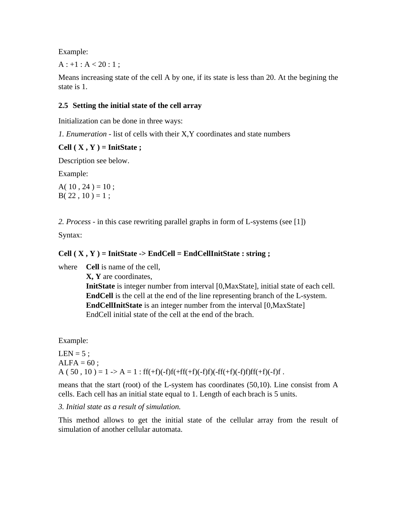Example:

 $A: +1: A < 20:1;$ 

Means increasing state of the cell A by one, if its state is less than 20. At the begining the state is 1.

#### **2.5 Setting the initial state of the cell array**

Initialization can be done in three ways:

*1. Enumeration* - list of cells with their X,Y coordinates and state numbers

#### **Cell ( X , Y ) = InitState ;**

Description see below.

Example:

A( $10, 24$ ) = 10;  $B( 22, 10 ) = 1;$ 

*2. Process* - in this case rewriting parallel graphs in form of L-systems (see [1])

Syntax:

### **Cell ( X , Y ) = InitState -> EndCell = EndCellInitState : string ;**

where **Cell** is name of the cell, **X, Y** are coordinates, **InitState** is integer number from interval [0,MaxState], initial state of each cell. **EndCell** is the cell at the end of the line representing branch of the L-system. **EndCellInitState** is an integer number from the interval [0,MaxState] EndCell initial state of the cell at the end of the brach.

Example:

 $LEN = 5$ ;  $ALFA = 60$ ; A ( 50, 10) = 1 -> A = 1 : ff(+f)(-f)f(+ff(+f)(-f)f)(-ff(+f)(-f)f)ff(+f)(-f)f) .

means that the start (root) of the L-system has coordinates (50,10). Line consist from A cells. Each cell has an initial state equal to 1. Length of each brach is 5 units.

*3. Initial state as a result of simulation.*

This method allows to get the initial state of the cellular array from the result of simulation of another cellular automata.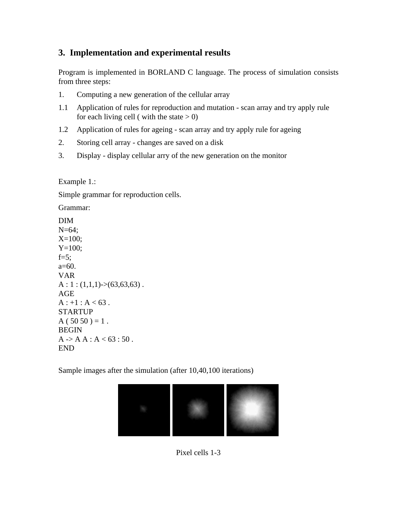# **3. Implementation and experimental results**

Program is implemented in BORLAND C language. The process of simulation consists from three steps:

- 1. Computing a new generation of the cellular array
- 1.1 Application of rules for reproduction and mutation scan array and try apply rule for each living cell (with the state  $> 0$ )
- 1.2 Application of rules for ageing scan array and try apply rule for ageing
- 2. Storing cell array changes are saved on a disk
- 3. Display display cellular arry of the new generation on the monitor

Example 1.:

Simple grammar for reproduction cells.

Grammar:

DIM  $N=64$ :  $X=100;$  $Y=100;$  $f=5$ ;  $a=60$ . VAR  $A: 1: (1,1,1)$ ->(63,63,63). AGE  $A : +1 : A < 63$ . **STARTUP**  $A(5050) = 1$ . **BEGIN**  $A > A A : A < 63 : 50.$ END

Sample images after the simulation (after 10,40,100 iterations)



Pixel cells 1-3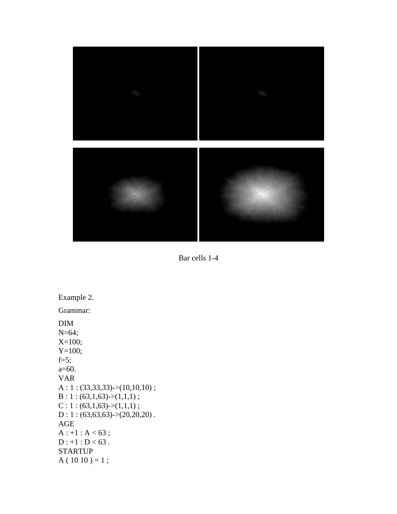

Bar cells 1-4

Example 2. Grammar: DIM N=64; X=100; Y=100;  $f=5$ ; a=60. VAR  $A: 1: (33,33,33) > (10,10,10);$  $B: 1: (63,1,63) > (1,1,1);$  $C: 1: (63,1,63) > (1,1,1);$  $\mathrm{D}:1:(63,\!63,\!63)\!\!>\!\times\!\!(20,\!20,\!20)$  . AGE  $A : +1 : A < 63$ ;  $D : +1 : D < 63$ . STARTUP  $A(1010) = 1;$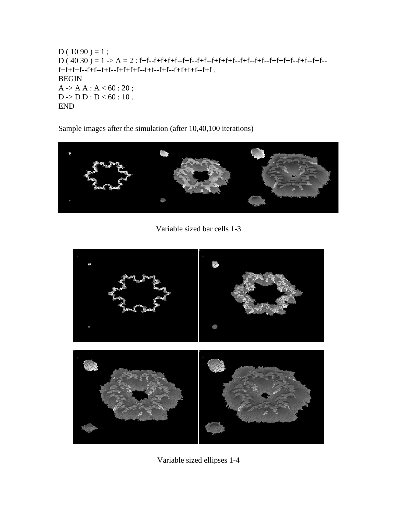```
D(1090) = 1;D ( 40 30 ) = 1 -> A = 2 : f+f--f+f+f+f--f+f--f+f--f+f+f+f--f+f--f+f--f+f+f+f--f+f--f+f--
f+f+f+f--f+f--f+f--f+f+f+f--f+f--f+f--f+f+f+f--f+f .
BEGIN
A \rightarrow A A : A < 60 : 20 ;D -> D D : D < 60 : 10 .
END
```
Sample images after the simulation (after 10,40,100 iterations)



Variable sized bar cells 1-3



Variable sized ellipses 1-4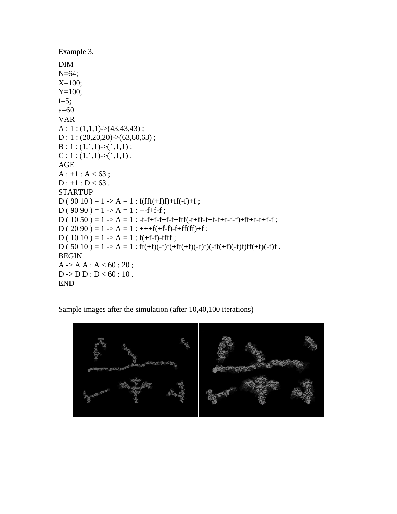```
Example 3.
DIM
N=64;
X=100;
Y=100;f=5;
a=60.
VAR
A: 1: (1,1,1)->(43,43,43);
D: 1: (20,20,20)->(63,60,63);
B: 1: (1,1,1) > (1,1,1);C: 1: (1,1,1) \rightarrow (1,1,1).
AGE
A : +1 : A < 63;
D : +1 : D < 63.
STARTUP
D ( 90 10 ) = 1 -> A = 1 : f(fff(+f)f)+ff(-f)+f;
D ( 90\,90 ) = 1 -> A = 1 : ---f+f-f;
D(1050) = 1 \rightarrow A = 1: -f-f+f-f+f-f+fff(-f+ff-f+f-f+f-f-f)+ff+f-f+f-f;
D ( 20 90 ) = 1 -> A = 1 : +++f(+f-f)-f+ff(ff)+f;
D(1010) = 1 \rightarrow A = 1 : f(+f-f)-ffff;D ( 50 10 ) = 1 -> A = 1 : ff(+f)(-f)f(+ff(+f)(-f)f)(-ff(+f)(-f)f)ff(+f)(-f)f .
BEGIN
A \rightarrow A A : A < 60 : 20;
D -> D D : D < 60 : 10 .
END
```
Sample images after the simulation (after 10,40,100 iterations)